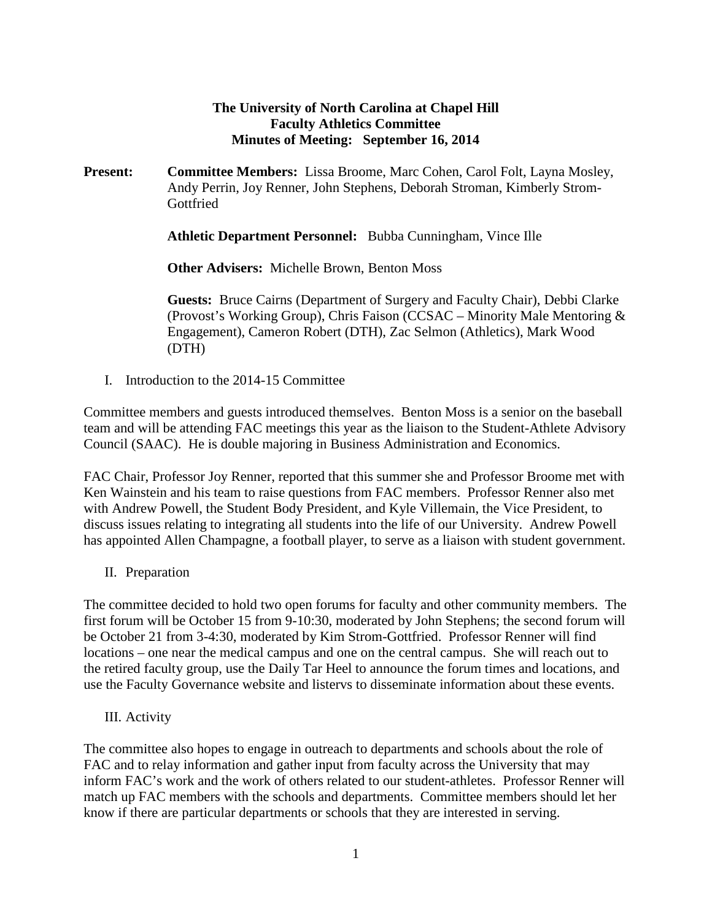## **The University of North Carolina at Chapel Hill Faculty Athletics Committee Minutes of Meeting: September 16, 2014**

**Present: Committee Members:** Lissa Broome, Marc Cohen, Carol Folt, Layna Mosley, Andy Perrin, Joy Renner, John Stephens, Deborah Stroman, Kimberly Strom-**Gottfried** 

**Athletic Department Personnel:** Bubba Cunningham, Vince Ille

**Other Advisers:** Michelle Brown, Benton Moss

**Guests:** Bruce Cairns (Department of Surgery and Faculty Chair), Debbi Clarke (Provost's Working Group), Chris Faison (CCSAC – Minority Male Mentoring & Engagement), Cameron Robert (DTH), Zac Selmon (Athletics), Mark Wood (DTH)

I. Introduction to the 2014-15 Committee

Committee members and guests introduced themselves. Benton Moss is a senior on the baseball team and will be attending FAC meetings this year as the liaison to the Student-Athlete Advisory Council (SAAC). He is double majoring in Business Administration and Economics.

FAC Chair, Professor Joy Renner, reported that this summer she and Professor Broome met with Ken Wainstein and his team to raise questions from FAC members. Professor Renner also met with Andrew Powell, the Student Body President, and Kyle Villemain, the Vice President, to discuss issues relating to integrating all students into the life of our University. Andrew Powell has appointed Allen Champagne, a football player, to serve as a liaison with student government.

II. Preparation

The committee decided to hold two open forums for faculty and other community members. The first forum will be October 15 from 9-10:30, moderated by John Stephens; the second forum will be October 21 from 3-4:30, moderated by Kim Strom-Gottfried. Professor Renner will find locations – one near the medical campus and one on the central campus. She will reach out to the retired faculty group, use the Daily Tar Heel to announce the forum times and locations, and use the Faculty Governance website and listervs to disseminate information about these events.

III. Activity

The committee also hopes to engage in outreach to departments and schools about the role of FAC and to relay information and gather input from faculty across the University that may inform FAC's work and the work of others related to our student-athletes. Professor Renner will match up FAC members with the schools and departments. Committee members should let her know if there are particular departments or schools that they are interested in serving.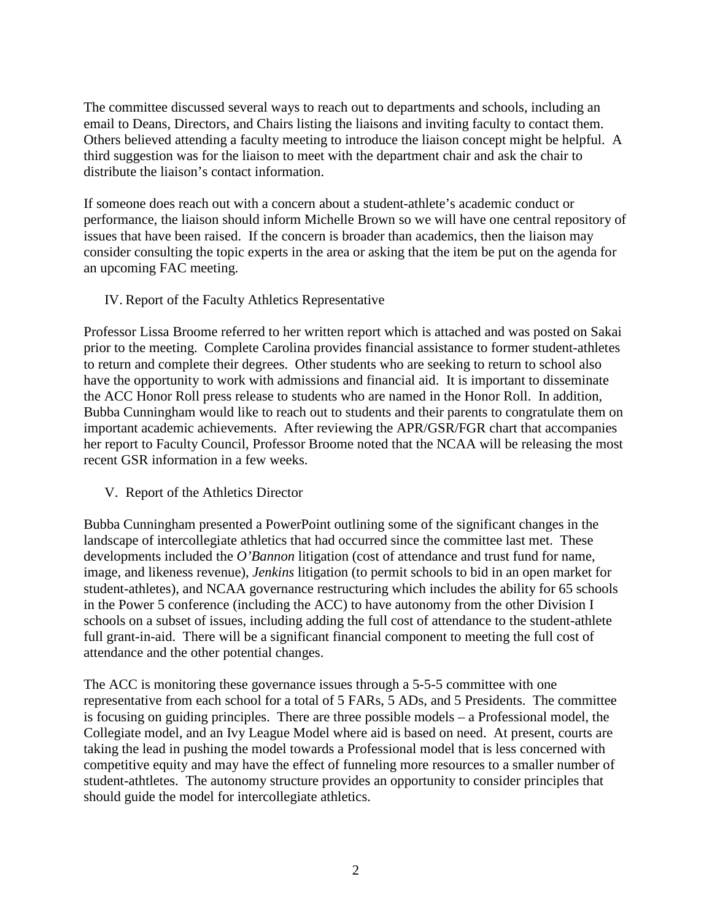The committee discussed several ways to reach out to departments and schools, including an email to Deans, Directors, and Chairs listing the liaisons and inviting faculty to contact them. Others believed attending a faculty meeting to introduce the liaison concept might be helpful. A third suggestion was for the liaison to meet with the department chair and ask the chair to distribute the liaison's contact information.

If someone does reach out with a concern about a student-athlete's academic conduct or performance, the liaison should inform Michelle Brown so we will have one central repository of issues that have been raised. If the concern is broader than academics, then the liaison may consider consulting the topic experts in the area or asking that the item be put on the agenda for an upcoming FAC meeting.

IV. Report of the Faculty Athletics Representative

Professor Lissa Broome referred to her written report which is attached and was posted on Sakai prior to the meeting. Complete Carolina provides financial assistance to former student-athletes to return and complete their degrees. Other students who are seeking to return to school also have the opportunity to work with admissions and financial aid. It is important to disseminate the ACC Honor Roll press release to students who are named in the Honor Roll. In addition, Bubba Cunningham would like to reach out to students and their parents to congratulate them on important academic achievements. After reviewing the APR/GSR/FGR chart that accompanies her report to Faculty Council, Professor Broome noted that the NCAA will be releasing the most recent GSR information in a few weeks.

V. Report of the Athletics Director

Bubba Cunningham presented a PowerPoint outlining some of the significant changes in the landscape of intercollegiate athletics that had occurred since the committee last met. These developments included the *O'Bannon* litigation (cost of attendance and trust fund for name, image, and likeness revenue), *Jenkins* litigation (to permit schools to bid in an open market for student-athletes), and NCAA governance restructuring which includes the ability for 65 schools in the Power 5 conference (including the ACC) to have autonomy from the other Division I schools on a subset of issues, including adding the full cost of attendance to the student-athlete full grant-in-aid. There will be a significant financial component to meeting the full cost of attendance and the other potential changes.

The ACC is monitoring these governance issues through a 5-5-5 committee with one representative from each school for a total of 5 FARs, 5 ADs, and 5 Presidents. The committee is focusing on guiding principles. There are three possible models – a Professional model, the Collegiate model, and an Ivy League Model where aid is based on need. At present, courts are taking the lead in pushing the model towards a Professional model that is less concerned with competitive equity and may have the effect of funneling more resources to a smaller number of student-athtletes. The autonomy structure provides an opportunity to consider principles that should guide the model for intercollegiate athletics.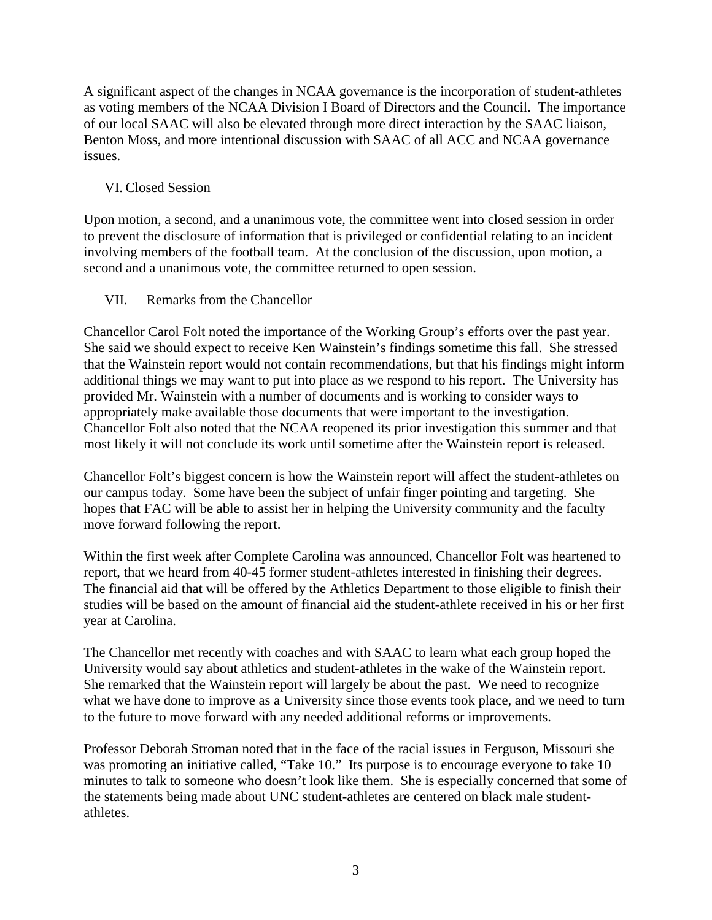A significant aspect of the changes in NCAA governance is the incorporation of student-athletes as voting members of the NCAA Division I Board of Directors and the Council. The importance of our local SAAC will also be elevated through more direct interaction by the SAAC liaison, Benton Moss, and more intentional discussion with SAAC of all ACC and NCAA governance issues.

## VI. Closed Session

Upon motion, a second, and a unanimous vote, the committee went into closed session in order to prevent the disclosure of information that is privileged or confidential relating to an incident involving members of the football team. At the conclusion of the discussion, upon motion, a second and a unanimous vote, the committee returned to open session.

## VII. Remarks from the Chancellor

Chancellor Carol Folt noted the importance of the Working Group's efforts over the past year. She said we should expect to receive Ken Wainstein's findings sometime this fall. She stressed that the Wainstein report would not contain recommendations, but that his findings might inform additional things we may want to put into place as we respond to his report. The University has provided Mr. Wainstein with a number of documents and is working to consider ways to appropriately make available those documents that were important to the investigation. Chancellor Folt also noted that the NCAA reopened its prior investigation this summer and that most likely it will not conclude its work until sometime after the Wainstein report is released.

Chancellor Folt's biggest concern is how the Wainstein report will affect the student-athletes on our campus today. Some have been the subject of unfair finger pointing and targeting. She hopes that FAC will be able to assist her in helping the University community and the faculty move forward following the report.

Within the first week after Complete Carolina was announced, Chancellor Folt was heartened to report, that we heard from 40-45 former student-athletes interested in finishing their degrees. The financial aid that will be offered by the Athletics Department to those eligible to finish their studies will be based on the amount of financial aid the student-athlete received in his or her first year at Carolina.

The Chancellor met recently with coaches and with SAAC to learn what each group hoped the University would say about athletics and student-athletes in the wake of the Wainstein report. She remarked that the Wainstein report will largely be about the past. We need to recognize what we have done to improve as a University since those events took place, and we need to turn to the future to move forward with any needed additional reforms or improvements.

Professor Deborah Stroman noted that in the face of the racial issues in Ferguson, Missouri she was promoting an initiative called, "Take 10." Its purpose is to encourage everyone to take 10 minutes to talk to someone who doesn't look like them. She is especially concerned that some of the statements being made about UNC student-athletes are centered on black male studentathletes.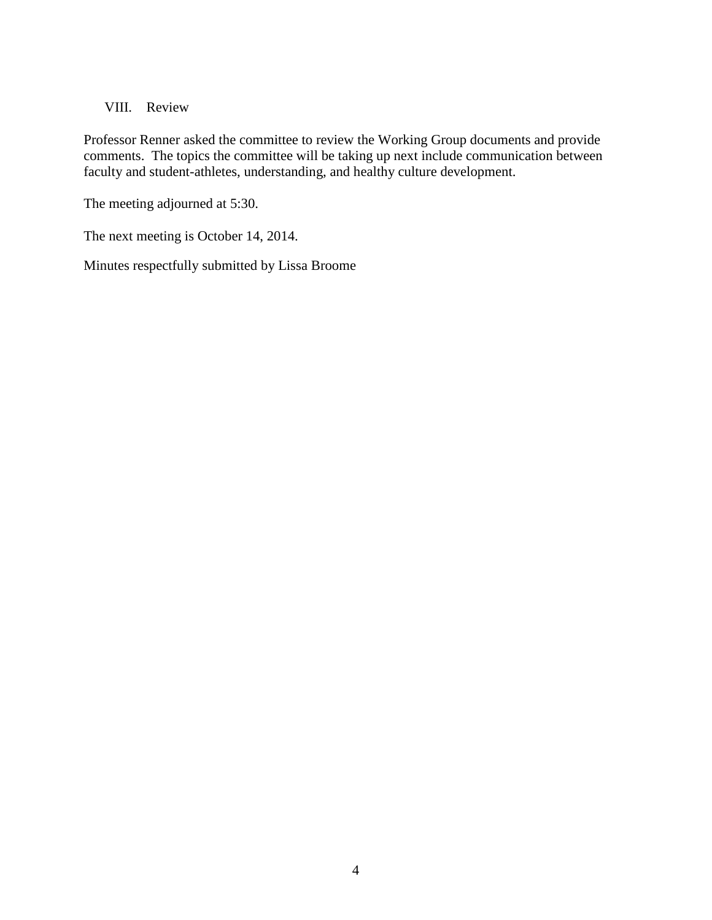VIII. Review

Professor Renner asked the committee to review the Working Group documents and provide comments. The topics the committee will be taking up next include communication between faculty and student-athletes, understanding, and healthy culture development.

The meeting adjourned at 5:30.

The next meeting is October 14, 2014.

Minutes respectfully submitted by Lissa Broome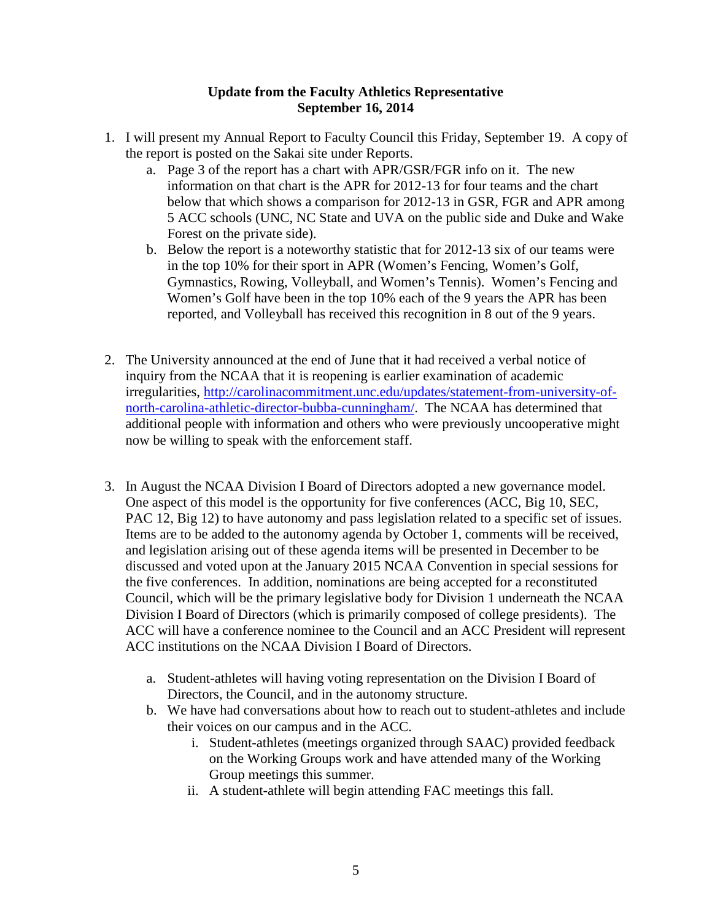## **Update from the Faculty Athletics Representative September 16, 2014**

- 1. I will present my Annual Report to Faculty Council this Friday, September 19. A copy of the report is posted on the Sakai site under Reports.
	- a. Page 3 of the report has a chart with APR/GSR/FGR info on it. The new information on that chart is the APR for 2012-13 for four teams and the chart below that which shows a comparison for 2012-13 in GSR, FGR and APR among 5 ACC schools (UNC, NC State and UVA on the public side and Duke and Wake Forest on the private side).
	- b. Below the report is a noteworthy statistic that for 2012-13 six of our teams were in the top 10% for their sport in APR (Women's Fencing, Women's Golf, Gymnastics, Rowing, Volleyball, and Women's Tennis). Women's Fencing and Women's Golf have been in the top 10% each of the 9 years the APR has been reported, and Volleyball has received this recognition in 8 out of the 9 years.
- 2. The University announced at the end of June that it had received a verbal notice of inquiry from the NCAA that it is reopening is earlier examination of academic irregularities, [http://carolinacommitment.unc.edu/updates/statement-from-university-of](http://carolinacommitment.unc.edu/updates/statement-from-university-of-north-carolina-athletic-director-bubba-cunningham/)[north-carolina-athletic-director-bubba-cunningham/.](http://carolinacommitment.unc.edu/updates/statement-from-university-of-north-carolina-athletic-director-bubba-cunningham/) The NCAA has determined that additional people with information and others who were previously uncooperative might now be willing to speak with the enforcement staff.
- 3. In August the NCAA Division I Board of Directors adopted a new governance model. One aspect of this model is the opportunity for five conferences (ACC, Big 10, SEC, PAC 12, Big 12) to have autonomy and pass legislation related to a specific set of issues. Items are to be added to the autonomy agenda by October 1, comments will be received, and legislation arising out of these agenda items will be presented in December to be discussed and voted upon at the January 2015 NCAA Convention in special sessions for the five conferences. In addition, nominations are being accepted for a reconstituted Council, which will be the primary legislative body for Division 1 underneath the NCAA Division I Board of Directors (which is primarily composed of college presidents). The ACC will have a conference nominee to the Council and an ACC President will represent ACC institutions on the NCAA Division I Board of Directors.
	- a. Student-athletes will having voting representation on the Division I Board of Directors, the Council, and in the autonomy structure.
	- b. We have had conversations about how to reach out to student-athletes and include their voices on our campus and in the ACC.
		- i. Student-athletes (meetings organized through SAAC) provided feedback on the Working Groups work and have attended many of the Working Group meetings this summer.
		- ii. A student-athlete will begin attending FAC meetings this fall.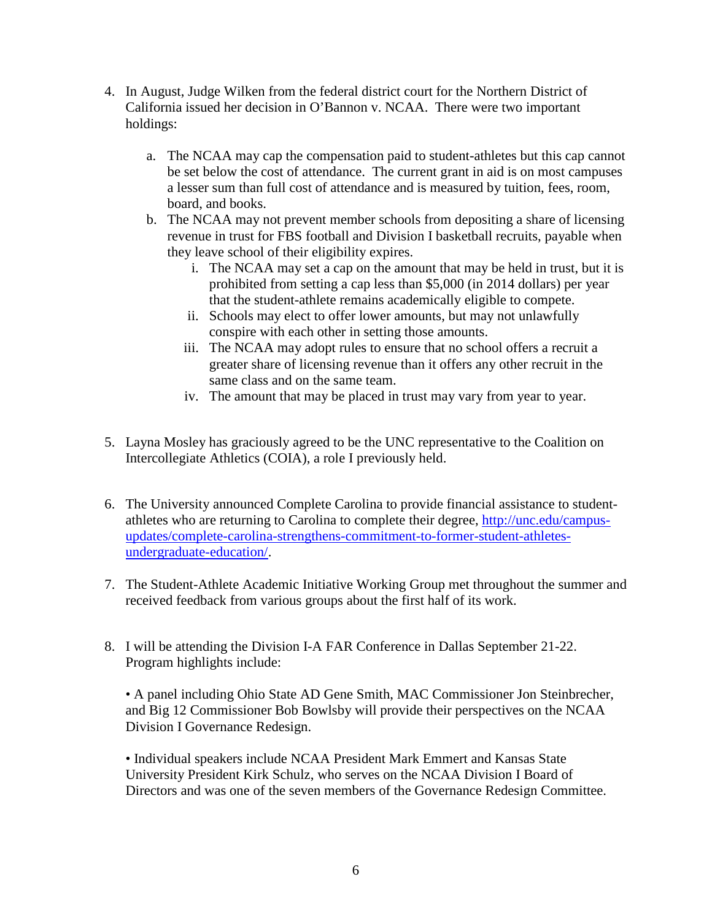- 4. In August, Judge Wilken from the federal district court for the Northern District of California issued her decision in O'Bannon v. NCAA. There were two important holdings:
	- a. The NCAA may cap the compensation paid to student-athletes but this cap cannot be set below the cost of attendance. The current grant in aid is on most campuses a lesser sum than full cost of attendance and is measured by tuition, fees, room, board, and books.
	- b. The NCAA may not prevent member schools from depositing a share of licensing revenue in trust for FBS football and Division I basketball recruits, payable when they leave school of their eligibility expires.
		- i. The NCAA may set a cap on the amount that may be held in trust, but it is prohibited from setting a cap less than \$5,000 (in 2014 dollars) per year that the student-athlete remains academically eligible to compete.
		- ii. Schools may elect to offer lower amounts, but may not unlawfully conspire with each other in setting those amounts.
		- iii. The NCAA may adopt rules to ensure that no school offers a recruit a greater share of licensing revenue than it offers any other recruit in the same class and on the same team.
		- iv. The amount that may be placed in trust may vary from year to year.
- 5. Layna Mosley has graciously agreed to be the UNC representative to the Coalition on Intercollegiate Athletics (COIA), a role I previously held.
- 6. The University announced Complete Carolina to provide financial assistance to studentathletes who are returning to Carolina to complete their degree, [http://unc.edu/campus](http://unc.edu/campus-updates/complete-carolina-strengthens-commitment-to-former-student-athletes-undergraduate-education/)[updates/complete-carolina-strengthens-commitment-to-former-student-athletes](http://unc.edu/campus-updates/complete-carolina-strengthens-commitment-to-former-student-athletes-undergraduate-education/)[undergraduate-education/.](http://unc.edu/campus-updates/complete-carolina-strengthens-commitment-to-former-student-athletes-undergraduate-education/)
- 7. The Student-Athlete Academic Initiative Working Group met throughout the summer and received feedback from various groups about the first half of its work.
- 8. I will be attending the Division I-A FAR Conference in Dallas September 21-22. Program highlights include:

• A panel including Ohio State AD Gene Smith, MAC Commissioner Jon Steinbrecher, and Big 12 Commissioner Bob Bowlsby will provide their perspectives on the NCAA Division I Governance Redesign.

• Individual speakers include NCAA President Mark Emmert and Kansas State University President Kirk Schulz, who serves on the NCAA Division I Board of Directors and was one of the seven members of the Governance Redesign Committee.